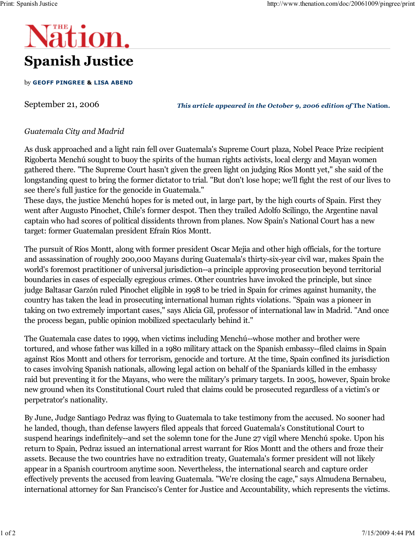## **Nation.** Spanish Justice

## by GEOFF PINGREE & LISA ABEND

September 21, 2006

This article appeared in the October 9, 2006 edition of The Nation.

## Guatemala City and Madrid

As dusk approached and a light rain fell over Guatemala's Supreme Court plaza, Nobel Peace Prize recipient Rigoberta Menchú sought to buoy the spirits of the human rights activists, local clergy and Mayan women gathered there. "The Supreme Court hasn't given the green light on judging Ríos Montt yet," she said of the longstanding quest to bring the former dictator to trial. "But don't lose hope; we'll fight the rest of our lives to see there's full justice for the genocide in Guatemala."

These days, the justice Menchú hopes for is meted out, in large part, by the high courts of Spain. First they went after Augusto Pinochet, Chile's former despot. Then they trailed Adolfo Scilingo, the Argentine naval captain who had scores of political dissidents thrown from planes. Now Spain's National Court has a new target: former Guatemalan president Efraín Ríos Montt.

The pursuit of Ríos Montt, along with former president Oscar Mejia and other high officials, for the torture and assassination of roughly 200,000 Mayans during Guatemala's thirty-six-year civil war, makes Spain the world's foremost practitioner of universal jurisdiction--a principle approving prosecution beyond territorial boundaries in cases of especially egregious crimes. Other countries have invoked the principle, but since judge Baltasar Garzón ruled Pinochet eligible in 1998 to be tried in Spain for crimes against humanity, the country has taken the lead in prosecuting international human rights violations. "Spain was a pioneer in taking on two extremely important cases," says Alicia Gil, professor of international law in Madrid. "And once the process began, public opinion mobilized spectacularly behind it."

The Guatemala case dates to 1999, when victims including Menchú--whose mother and brother were tortured, and whose father was killed in a 1980 military attack on the Spanish embassy--filed claims in Spain against Ríos Montt and others for terrorism, genocide and torture. At the time, Spain confined its jurisdiction to cases involving Spanish nationals, allowing legal action on behalf of the Spaniards killed in the embassy raid but preventing it for the Mayans, who were the military's primary targets. In 2005, however, Spain broke new ground when its Constitutional Court ruled that claims could be prosecuted regardless of a victim's or perpetrator's nationality.

By June, Judge Santiago Pedraz was flying to Guatemala to take testimony from the accused. No sooner had he landed, though, than defense lawyers filed appeals that forced Guatemala's Constitutional Court to suspend hearings indefinitely--and set the solemn tone for the June 27 vigil where Menchú spoke. Upon his return to Spain, Pedraz issued an international arrest warrant for Ríos Montt and the others and froze their assets. Because the two countries have no extradition treaty, Guatemala's former president will not likely appear in a Spanish courtroom anytime soon. Nevertheless, the international search and capture order effectively prevents the accused from leaving Guatemala. "We're closing the cage," says Almudena Bernabeu, international attorney for San Francisco's Center for Justice and Accountability, which represents the victims.